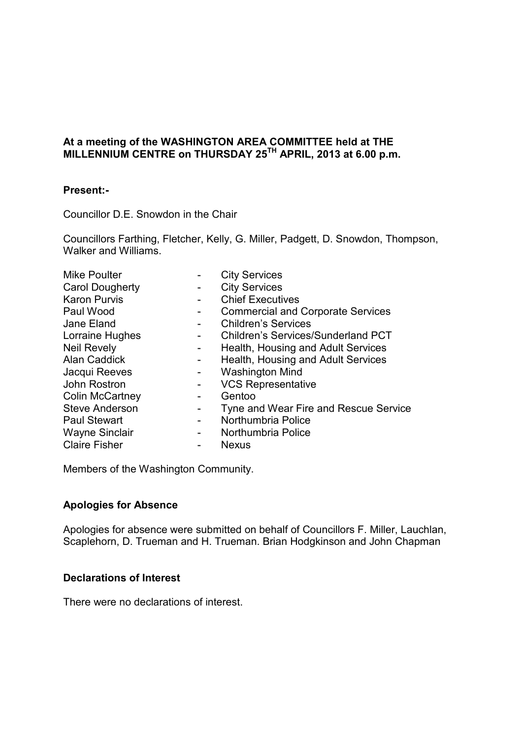### **At a meeting of the WASHINGTON AREA COMMITTEE held at THE MILLENNIUM CENTRE on THURSDAY 25TH APRIL, 2013 at 6.00 p.m.**

### **Present:-**

Councillor D.E. Snowdon in the Chair

Councillors Farthing, Fletcher, Kelly, G. Miller, Padgett, D. Snowdon, Thompson, Walker and Williams.

| <b>Mike Poulter</b>    |                          | <b>City Services</b>                      |
|------------------------|--------------------------|-------------------------------------------|
| <b>Carol Dougherty</b> |                          | <b>City Services</b>                      |
| <b>Karon Purvis</b>    |                          | <b>Chief Executives</b>                   |
| Paul Wood              |                          | <b>Commercial and Corporate Services</b>  |
| Jane Eland             |                          | <b>Children's Services</b>                |
| Lorraine Hughes        |                          | <b>Children's Services/Sunderland PCT</b> |
| <b>Neil Revely</b>     |                          | Health, Housing and Adult Services        |
| <b>Alan Caddick</b>    | $\blacksquare$           | Health, Housing and Adult Services        |
| Jacqui Reeves          |                          | <b>Washington Mind</b>                    |
| John Rostron           |                          | <b>VCS Representative</b>                 |
| <b>Colin McCartney</b> |                          | Gentoo                                    |
| <b>Steve Anderson</b>  | $\blacksquare$           | Tyne and Wear Fire and Rescue Service     |
| <b>Paul Stewart</b>    | $\blacksquare$           | Northumbria Police                        |
| <b>Wayne Sinclair</b>  | $\overline{\phantom{a}}$ | Northumbria Police                        |
| <b>Claire Fisher</b>   |                          | <b>Nexus</b>                              |
|                        |                          |                                           |

Members of the Washington Community.

### **Apologies for Absence**

Apologies for absence were submitted on behalf of Councillors F. Miller, Lauchlan, Scaplehorn, D. Trueman and H. Trueman. Brian Hodgkinson and John Chapman

### **Declarations of Interest**

There were no declarations of interest.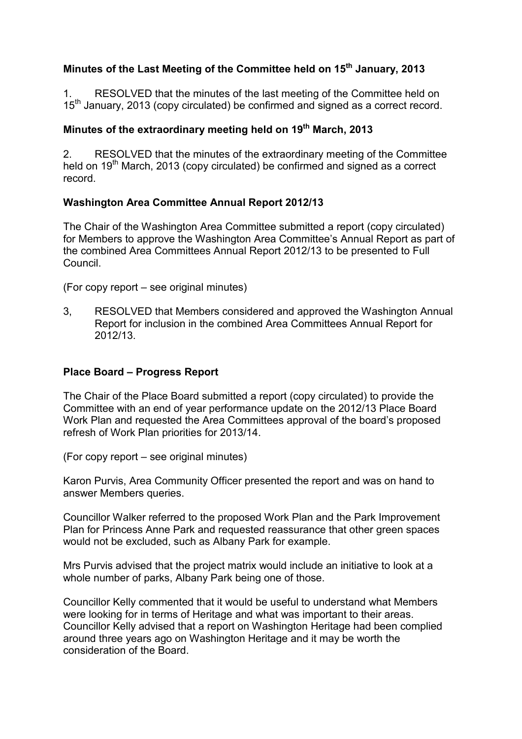# **Minutes of the Last Meeting of the Committee held on 15th January, 2013**

1. RESOLVED that the minutes of the last meeting of the Committee held on 15<sup>th</sup> January, 2013 (copy circulated) be confirmed and signed as a correct record.

## **Minutes of the extraordinary meeting held on 19th March, 2013**

2. RESOLVED that the minutes of the extraordinary meeting of the Committee held on  $19<sup>th</sup>$  March, 2013 (copy circulated) be confirmed and signed as a correct record.

## **Washington Area Committee Annual Report 2012/13**

The Chair of the Washington Area Committee submitted a report (copy circulated) for Members to approve the Washington Area Committee's Annual Report as part of the combined Area Committees Annual Report 2012/13 to be presented to Full Council.

(For copy report – see original minutes)

3, RESOLVED that Members considered and approved the Washington Annual Report for inclusion in the combined Area Committees Annual Report for 2012/13.

## **Place Board – Progress Report**

The Chair of the Place Board submitted a report (copy circulated) to provide the Committee with an end of year performance update on the 2012/13 Place Board Work Plan and requested the Area Committees approval of the board's proposed refresh of Work Plan priorities for 2013/14.

(For copy report – see original minutes)

Karon Purvis, Area Community Officer presented the report and was on hand to answer Members queries.

Councillor Walker referred to the proposed Work Plan and the Park Improvement Plan for Princess Anne Park and requested reassurance that other green spaces would not be excluded, such as Albany Park for example.

Mrs Purvis advised that the project matrix would include an initiative to look at a whole number of parks, Albany Park being one of those.

Councillor Kelly commented that it would be useful to understand what Members were looking for in terms of Heritage and what was important to their areas. Councillor Kelly advised that a report on Washington Heritage had been complied around three years ago on Washington Heritage and it may be worth the consideration of the Board.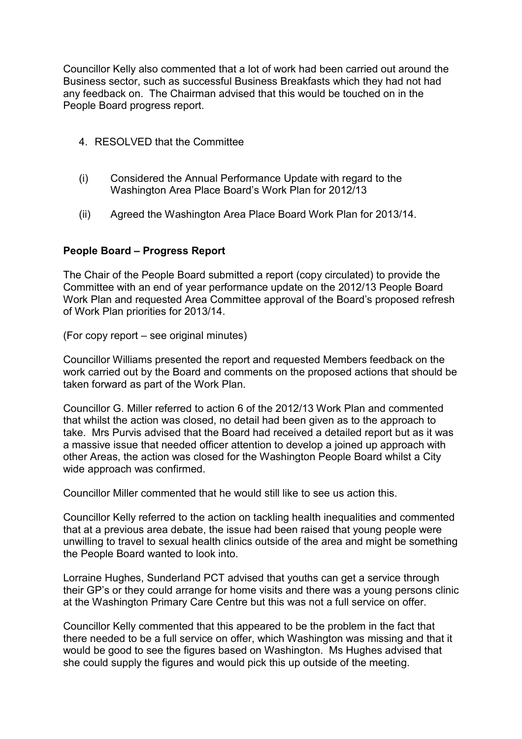Councillor Kelly also commented that a lot of work had been carried out around the Business sector, such as successful Business Breakfasts which they had not had any feedback on. The Chairman advised that this would be touched on in the People Board progress report.

- 4. RESOLVED that the Committee
- (i) Considered the Annual Performance Update with regard to the Washington Area Place Board's Work Plan for 2012/13
- (ii) Agreed the Washington Area Place Board Work Plan for 2013/14.

### **People Board – Progress Report**

The Chair of the People Board submitted a report (copy circulated) to provide the Committee with an end of year performance update on the 2012/13 People Board Work Plan and requested Area Committee approval of the Board's proposed refresh of Work Plan priorities for 2013/14.

(For copy report – see original minutes)

Councillor Williams presented the report and requested Members feedback on the work carried out by the Board and comments on the proposed actions that should be taken forward as part of the Work Plan.

Councillor G. Miller referred to action 6 of the 2012/13 Work Plan and commented that whilst the action was closed, no detail had been given as to the approach to take. Mrs Purvis advised that the Board had received a detailed report but as it was a massive issue that needed officer attention to develop a joined up approach with other Areas, the action was closed for the Washington People Board whilst a City wide approach was confirmed.

Councillor Miller commented that he would still like to see us action this.

Councillor Kelly referred to the action on tackling health inequalities and commented that at a previous area debate, the issue had been raised that young people were unwilling to travel to sexual health clinics outside of the area and might be something the People Board wanted to look into.

Lorraine Hughes, Sunderland PCT advised that youths can get a service through their GP's or they could arrange for home visits and there was a young persons clinic at the Washington Primary Care Centre but this was not a full service on offer.

Councillor Kelly commented that this appeared to be the problem in the fact that there needed to be a full service on offer, which Washington was missing and that it would be good to see the figures based on Washington. Ms Hughes advised that she could supply the figures and would pick this up outside of the meeting.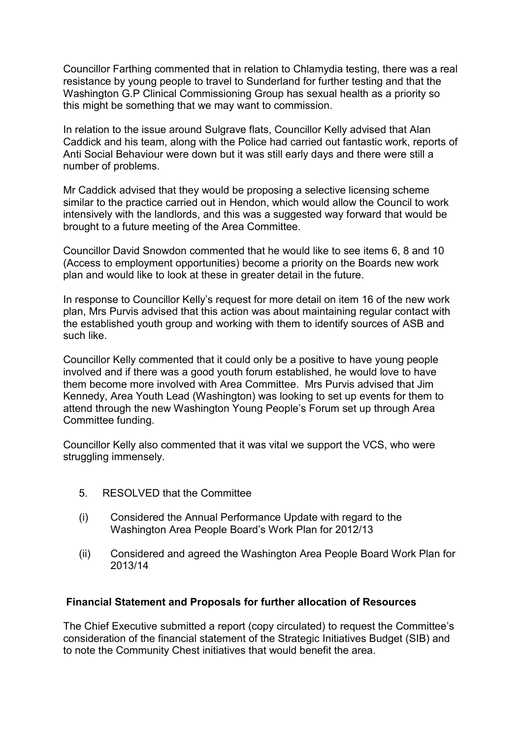Councillor Farthing commented that in relation to Chlamydia testing, there was a real resistance by young people to travel to Sunderland for further testing and that the Washington G.P Clinical Commissioning Group has sexual health as a priority so this might be something that we may want to commission.

In relation to the issue around Sulgrave flats, Councillor Kelly advised that Alan Caddick and his team, along with the Police had carried out fantastic work, reports of Anti Social Behaviour were down but it was still early days and there were still a number of problems.

Mr Caddick advised that they would be proposing a selective licensing scheme similar to the practice carried out in Hendon, which would allow the Council to work intensively with the landlords, and this was a suggested way forward that would be brought to a future meeting of the Area Committee.

Councillor David Snowdon commented that he would like to see items 6, 8 and 10 (Access to employment opportunities) become a priority on the Boards new work plan and would like to look at these in greater detail in the future.

In response to Councillor Kelly's request for more detail on item 16 of the new work plan, Mrs Purvis advised that this action was about maintaining regular contact with the established youth group and working with them to identify sources of ASB and such like.

Councillor Kelly commented that it could only be a positive to have young people involved and if there was a good youth forum established, he would love to have them become more involved with Area Committee. Mrs Purvis advised that Jim Kennedy, Area Youth Lead (Washington) was looking to set up events for them to attend through the new Washington Young People's Forum set up through Area Committee funding.

Councillor Kelly also commented that it was vital we support the VCS, who were struggling immensely.

- 5. RESOLVED that the Committee
- (i) Considered the Annual Performance Update with regard to the Washington Area People Board's Work Plan for 2012/13
- (ii) Considered and agreed the Washington Area People Board Work Plan for 2013/14

### **Financial Statement and Proposals for further allocation of Resources**

The Chief Executive submitted a report (copy circulated) to request the Committee's consideration of the financial statement of the Strategic Initiatives Budget (SIB) and to note the Community Chest initiatives that would benefit the area.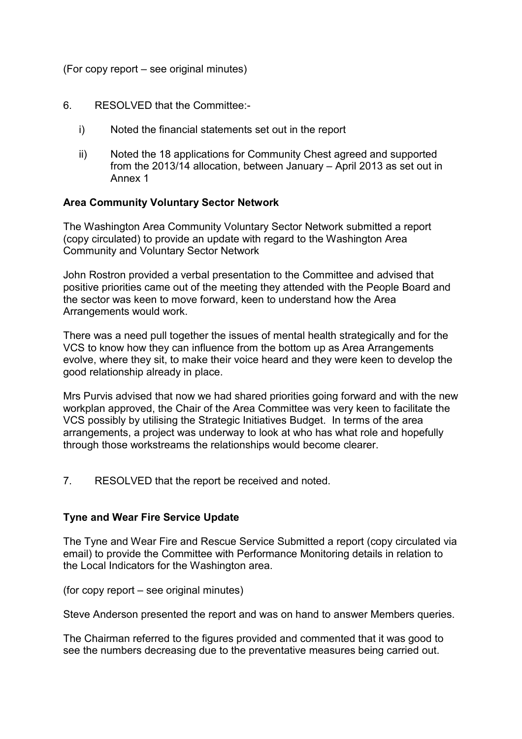(For copy report – see original minutes)

### 6. RESOLVED that the Committee:-

- i) Noted the financial statements set out in the report
- ii) Noted the 18 applications for Community Chest agreed and supported from the 2013/14 allocation, between January – April 2013 as set out in Annex 1

### **Area Community Voluntary Sector Network**

The Washington Area Community Voluntary Sector Network submitted a report (copy circulated) to provide an update with regard to the Washington Area Community and Voluntary Sector Network

John Rostron provided a verbal presentation to the Committee and advised that positive priorities came out of the meeting they attended with the People Board and the sector was keen to move forward, keen to understand how the Area Arrangements would work.

There was a need pull together the issues of mental health strategically and for the VCS to know how they can influence from the bottom up as Area Arrangements evolve, where they sit, to make their voice heard and they were keen to develop the good relationship already in place.

Mrs Purvis advised that now we had shared priorities going forward and with the new workplan approved, the Chair of the Area Committee was very keen to facilitate the VCS possibly by utilising the Strategic Initiatives Budget. In terms of the area arrangements, a project was underway to look at who has what role and hopefully through those workstreams the relationships would become clearer.

7. RESOLVED that the report be received and noted.

### **Tyne and Wear Fire Service Update**

The Tyne and Wear Fire and Rescue Service Submitted a report (copy circulated via email) to provide the Committee with Performance Monitoring details in relation to the Local Indicators for the Washington area.

(for copy report – see original minutes)

Steve Anderson presented the report and was on hand to answer Members queries.

The Chairman referred to the figures provided and commented that it was good to see the numbers decreasing due to the preventative measures being carried out.